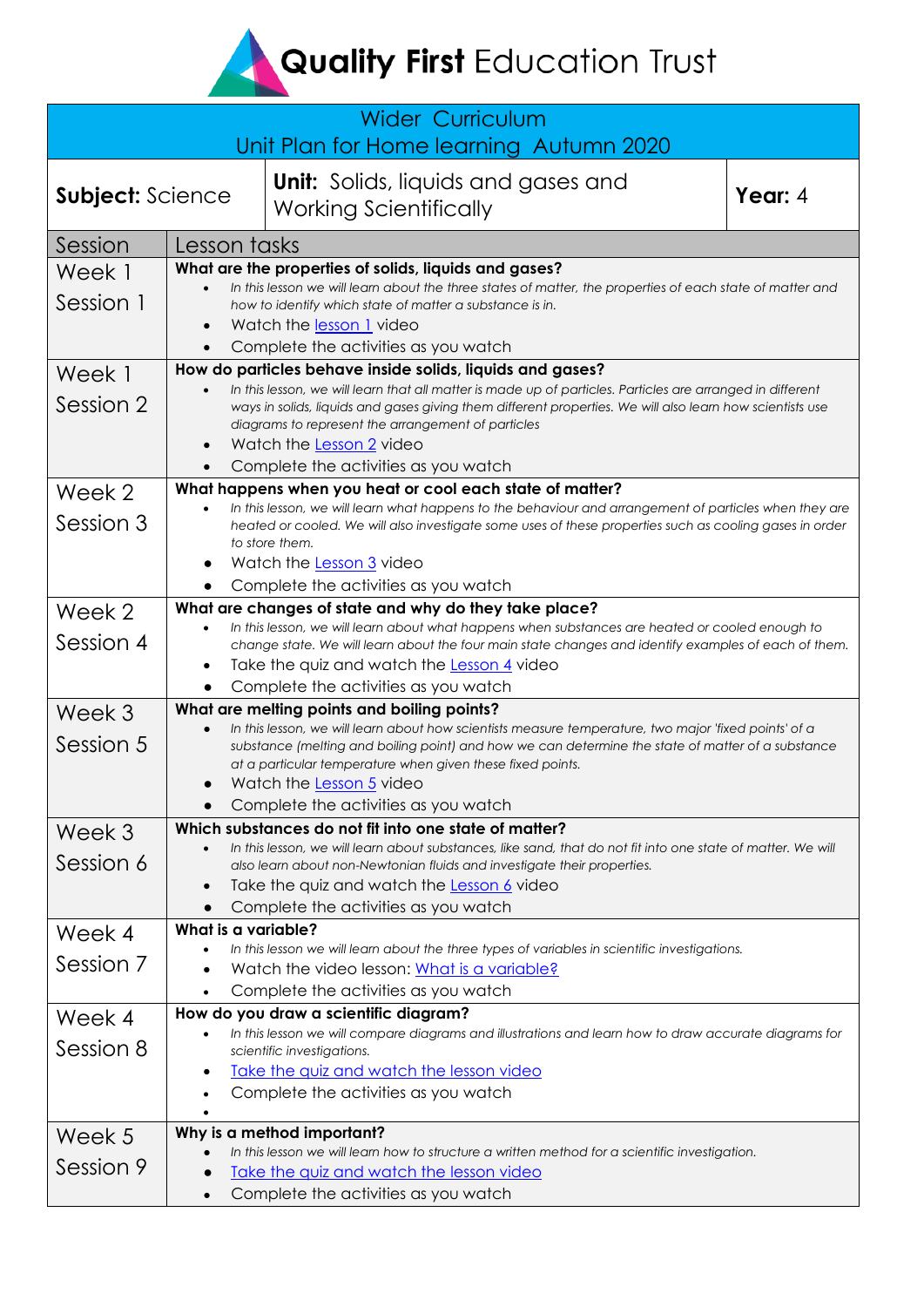**Quality First Education Trust** 

| <b>Wider Curriculum</b><br>Unit Plan for Home learning Autumn 2020 |                                                                                                                                                                         |                                                                                                                                                                                                            |         |  |
|--------------------------------------------------------------------|-------------------------------------------------------------------------------------------------------------------------------------------------------------------------|------------------------------------------------------------------------------------------------------------------------------------------------------------------------------------------------------------|---------|--|
| <b>Subject: Science</b>                                            |                                                                                                                                                                         | <b>Unit:</b> Solids, liquids and gases and<br><b>Working Scientifically</b>                                                                                                                                | Year: 4 |  |
| Session                                                            | Lesson tasks                                                                                                                                                            |                                                                                                                                                                                                            |         |  |
| Week 1                                                             | What are the properties of solids, liquids and gases?                                                                                                                   |                                                                                                                                                                                                            |         |  |
|                                                                    |                                                                                                                                                                         | In this lesson we will learn about the three states of matter, the properties of each state of matter and                                                                                                  |         |  |
| Session 1                                                          |                                                                                                                                                                         | how to identify which state of matter a substance is in.                                                                                                                                                   |         |  |
|                                                                    | $\bullet$                                                                                                                                                               | Watch the lesson 1 video                                                                                                                                                                                   |         |  |
|                                                                    |                                                                                                                                                                         | Complete the activities as you watch                                                                                                                                                                       |         |  |
| Week 1                                                             | How do particles behave inside solids, liquids and gases?<br>In this lesson, we will learn that all matter is made up of particles. Particles are arranged in different |                                                                                                                                                                                                            |         |  |
| Session 2                                                          |                                                                                                                                                                         | ways in solids, liquids and gases giving them different properties. We will also learn how scientists use                                                                                                  |         |  |
|                                                                    |                                                                                                                                                                         | diagrams to represent the arrangement of particles                                                                                                                                                         |         |  |
|                                                                    | $\bullet$                                                                                                                                                               | Watch the Lesson 2 video                                                                                                                                                                                   |         |  |
|                                                                    |                                                                                                                                                                         | Complete the activities as you watch                                                                                                                                                                       |         |  |
| Week 2                                                             |                                                                                                                                                                         | What happens when you heat or cool each state of matter?<br>In this lesson, we will learn what happens to the behaviour and arrangement of particles when they are                                         |         |  |
| Session 3                                                          |                                                                                                                                                                         | heated or cooled. We will also investigate some uses of these properties such as cooling gases in order                                                                                                    |         |  |
|                                                                    |                                                                                                                                                                         | to store them.                                                                                                                                                                                             |         |  |
|                                                                    |                                                                                                                                                                         | Watch the <u>Lesson 3</u> video                                                                                                                                                                            |         |  |
|                                                                    | $\bullet$                                                                                                                                                               | Complete the activities as you watch<br>What are changes of state and why do they take place?                                                                                                              |         |  |
| Week 2                                                             |                                                                                                                                                                         | In this lesson, we will learn about what happens when substances are heated or cooled enough to                                                                                                            |         |  |
| Session 4                                                          |                                                                                                                                                                         | change state. We will learn about the four main state changes and identify examples of each of them.                                                                                                       |         |  |
|                                                                    | $\bullet$                                                                                                                                                               | Take the quiz and watch the Lesson 4 video                                                                                                                                                                 |         |  |
|                                                                    |                                                                                                                                                                         | Complete the activities as you watch                                                                                                                                                                       |         |  |
| Week 3                                                             |                                                                                                                                                                         | What are melting points and boiling points?                                                                                                                                                                |         |  |
| Session 5                                                          |                                                                                                                                                                         | In this lesson, we will learn about how scientists measure temperature, two major 'fixed points' of a<br>substance (melting and boiling point) and how we can determine the state of matter of a substance |         |  |
|                                                                    |                                                                                                                                                                         | at a particular temperature when given these fixed points.                                                                                                                                                 |         |  |
|                                                                    |                                                                                                                                                                         | Watch the Lesson 5 video                                                                                                                                                                                   |         |  |
|                                                                    |                                                                                                                                                                         | Complete the activities as you watch                                                                                                                                                                       |         |  |
| Week 3                                                             |                                                                                                                                                                         | Which substances do not fit into one state of matter?<br>In this lesson, we will learn about substances, like sand, that do not fit into one state of matter. We will                                      |         |  |
| Session 6                                                          |                                                                                                                                                                         | also learn about non-Newtonian fluids and investigate their properties.                                                                                                                                    |         |  |
|                                                                    | $\bullet$                                                                                                                                                               | Take the quiz and watch the Lesson 6 video                                                                                                                                                                 |         |  |
|                                                                    |                                                                                                                                                                         | Complete the activities as you watch                                                                                                                                                                       |         |  |
| Week 4                                                             | What is a variable?                                                                                                                                                     |                                                                                                                                                                                                            |         |  |
| Session 7                                                          |                                                                                                                                                                         | In this lesson we will learn about the three types of variables in scientific investigations.                                                                                                              |         |  |
|                                                                    |                                                                                                                                                                         | Watch the video lesson: What is a variable?<br>Complete the activities as you watch                                                                                                                        |         |  |
|                                                                    |                                                                                                                                                                         | How do you draw a scientific diagram?                                                                                                                                                                      |         |  |
| Week 4                                                             |                                                                                                                                                                         | In this lesson we will compare diagrams and illustrations and learn how to draw accurate diagrams for                                                                                                      |         |  |
| Session 8                                                          |                                                                                                                                                                         | scientific investigations.                                                                                                                                                                                 |         |  |
|                                                                    | $\bullet$                                                                                                                                                               | Take the quiz and watch the lesson video                                                                                                                                                                   |         |  |
|                                                                    | ٠                                                                                                                                                                       | Complete the activities as you watch                                                                                                                                                                       |         |  |
| Week 5                                                             |                                                                                                                                                                         | Why is a method important?                                                                                                                                                                                 |         |  |
|                                                                    |                                                                                                                                                                         | In this lesson we will learn how to structure a written method for a scientific investigation.                                                                                                             |         |  |
| Session 9                                                          |                                                                                                                                                                         | Take the quiz and watch the lesson video                                                                                                                                                                   |         |  |
|                                                                    | $\bullet$                                                                                                                                                               | Complete the activities as you watch                                                                                                                                                                       |         |  |